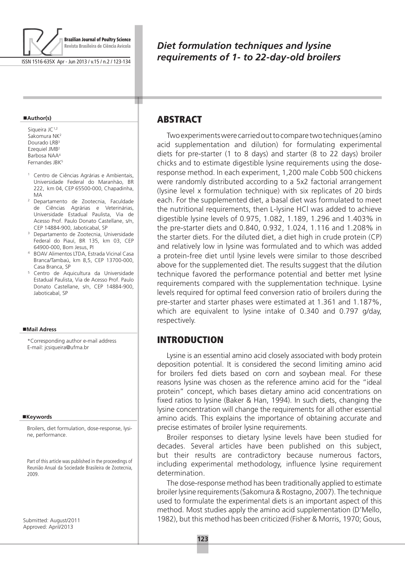

ISSN 1516-635X Apr - Jun 2013 / v.15 / n.2 / 123-134

#### **Author(s)**

Siqueira JC<sup>1,2</sup> Sakomura NK2 Dourado LRB<sup>3</sup> Ezequiel JMB2 Barbosa NAA4 Fernandes JBK5

- Centro de Ciências Agrárias e Ambientais, Universidade Federal do Maranhão, BR 222, km 04, CEP 65500-000, Chapadinha, MA
- <sup>2</sup> Departamento de Zootecnia, Faculdade de Ciências Agrárias e Veterinárias, Universidade Estadual Paulista, Via de Acesso Prof. Paulo Donato Castellane, s/n, CEP 14884-900, Jaboticabal, SP
- <sup>3</sup> Departamento de Zootecnia, Universidade Federal do Piauí, BR 135, km 03, CEP 64900-000, Bom Jesus, PI
- <sup>4</sup> BOAV Alimentos LTDA, Estrada Vicinal Casa Branca/Tambaú, km 8,5, CEP 13700-000, Casa Branca, SP
- <sup>5</sup> Centro de Aquicultura da Universidade Estadual Paulista, Via de Acesso Prof. Paulo Donato Castellane, s/n, CEP 14884-900, Jaboticabal, SP

#### **Mail Adress**

\*Corresponding author e-mail address E-mail: jcsiqueira@ufma.br

#### ■Keywords

Broilers, diet formulation, dose-response, lysine, performance.

Part of this article was published in the proceedings of Reunião Anual da Sociedade Brasileira de Zootecnia, 2009.

Submitted: August/2011 Approved: April/2013

# *Diet formulation techniques and lysine requirements of 1- to 22-day-old broilers*

# **ABSTRACT**

т

Two experiments were carried out to compare two techniques (amino acid supplementation and dilution) for formulating experimental diets for pre-starter (1 to 8 days) and starter (8 to 22 days) broiler chicks and to estimate digestible lysine requirements using the doseresponse method. In each experiment, 1,200 male Cobb 500 chickens were randomly distributed according to a 5x2 factorial arrangement (lysine level x formulation technique) with six replicates of 20 birds each. For the supplemented diet, a basal diet was formulated to meet the nutritional requirements, then L-lysine HCl was added to achieve digestible lysine levels of 0.975, 1.082, 1.189, 1.296 and 1.403% in the pre-starter diets and 0.840, 0.932, 1.024, 1.116 and 1.208% in the starter diets. For the diluted diet, a diet high in crude protein (CP) and relatively low in lysine was formulated and to which was added a protein-free diet until lysine levels were similar to those described above for the supplemented diet. The results suggest that the dilution technique favored the performance potential and better met lysine requirements compared with the supplementation technique. Lysine levels required for optimal feed conversion ratio of broilers during the pre-starter and starter phases were estimated at 1.361 and 1.187%, which are equivalent to lysine intake of 0.340 and 0.797 g/day, respectively.

## Introduction

Lysine is an essential amino acid closely associated with body protein deposition potential. It is considered the second limiting amino acid for broilers fed diets based on corn and soybean meal. For these reasons lysine was chosen as the reference amino acid for the "ideal protein" concept, which bases dietary amino acid concentrations on fixed ratios to lysine (Baker & Han, 1994). In such diets, changing the lysine concentration will change the requirements for all other essential amino acids. This explains the importance of obtaining accurate and precise estimates of broiler lysine requirements.

Broiler responses to dietary lysine levels have been studied for decades. Several articles have been published on this subject, but their results are contradictory because numerous factors, including experimental methodology, influence lysine requirement determination.

The dose-response method has been traditionally applied to estimate broiler lysine requirements (Sakomura & Rostagno, 2007). The technique used to formulate the experimental diets is an important aspect of this method. Most studies apply the amino acid supplementation (D'Mello, 1982), but this method has been criticized (Fisher & Morris, 1970; Gous,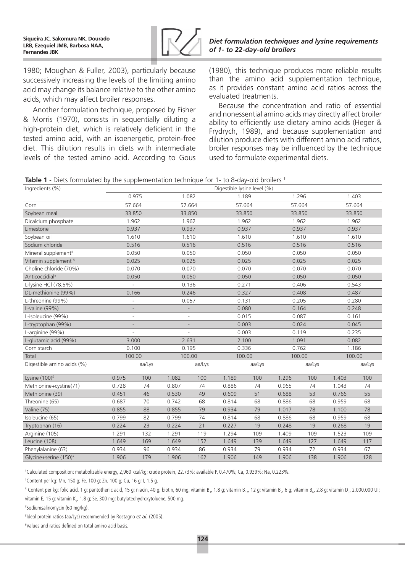

*Diet formulation techniques and lysine requirements of 1- to 22-day-old broilers*

1980; Moughan & Fuller, 2003), particularly because successively increasing the levels of the limiting amino acid may change its balance relative to the other amino acids, which may affect broiler responses.

Another formulation technique, proposed by Fisher & Morris (1970), consists in sequentially diluting a high-protein diet, which is relatively deficient in the tested amino acid, with an isoenergetic, protein-free diet. This dilution results in diets with intermediate levels of the tested amino acid. According to Gous (1980), this technique produces more reliable results than the amino acid supplementation technique, as it provides constant amino acid ratios across the evaluated treatments.

Because the concentration and ratio of essential and nonessential amino acids may directly affect broiler ability to efficiently use dietary amino acids (Heger & Frydrych, 1989), and because supplementation and dilution produce diets with different amino acid ratios, broiler responses may be influenced by the technique used to formulate experimental diets.

|  |  |  |  | Table 1 - Diets formulated by the supplementation technique for 1- to 8-day-old broilers <sup>+</sup> |
|--|--|--|--|-------------------------------------------------------------------------------------------------------|
|--|--|--|--|-------------------------------------------------------------------------------------------------------|

Ingredients (%) Digestible lysine level (%)

| $n$ greanched ( $70/$             |                          |        |       |                | Prycoupic ryonic idver (707 |        |        |        |        |        |
|-----------------------------------|--------------------------|--------|-------|----------------|-----------------------------|--------|--------|--------|--------|--------|
|                                   |                          | 0.975  |       | 1.082          |                             | 1.189  | 1.296  |        |        | 1.403  |
| Corn                              | 57.664                   |        |       | 57.664         |                             | 57.664 | 57.664 |        |        | 57.664 |
| Soybean meal                      | 33.850                   |        |       | 33.850         |                             | 33.850 | 33.850 |        | 33.850 |        |
| Dicalcium phosphate               | 1.962                    |        |       | 1.962          |                             | 1.962  | 1.962  |        |        | 1.962  |
| Limestone                         | 0.937                    |        |       | 0.937          |                             | 0.937  | 0.937  |        | 0.937  |        |
| Soybean oil                       | 1.610                    |        |       | 1.610          |                             | 1.610  | 1.610  |        |        | 1.610  |
| Sodium chloride                   | 0.516                    |        |       | 0.516          |                             | 0.516  | 0.516  |        | 0.516  |        |
| Mineral supplement <sup>#</sup>   | 0.050                    |        |       | 0.050          |                             | 0.050  | 0.050  |        | 0.050  |        |
| Vitamin supplement §              | 0.025                    |        |       | 0.025          |                             | 0.025  | 0.025  |        | 0.025  |        |
| Choline chloride (70%)            | 0.070                    |        |       | 0.070          |                             | 0.070  | 0.070  |        | 0.070  |        |
| Anticoccidial <sup>¥</sup>        | 0.050                    |        |       | 0.050          |                             | 0.050  | 0.050  |        |        | 0.050  |
| L-lysine HCl (78.5%)              |                          |        |       | 0.136          |                             | 0.271  | 0.406  |        | 0.543  |        |
| DL-methionine (99%)               | 0.166                    |        |       | 0.246          |                             | 0.327  | 0.408  |        | 0.487  |        |
| L-threonine (99%)                 |                          |        |       | 0.057          |                             | 0.131  | 0.205  |        | 0.280  |        |
| L-valine (99%)                    |                          |        |       |                |                             | 0.080  | 0.164  |        | 0.248  |        |
| L-isoleucine (99%)                |                          |        |       |                |                             | 0.015  | 0.087  |        | 0.161  |        |
| L-tryptophan (99%)                |                          |        |       |                |                             | 0.003  | 0.024  |        | 0.045  |        |
| L-arginine (99%)                  | $\overline{\phantom{a}}$ |        |       | $\overline{a}$ |                             | 0.003  | 0.119  |        | 0.235  |        |
| L-glutamic acid (99%)             | 3.000                    |        |       | 2.631          |                             | 2.100  | 1.091  |        | 0.082  |        |
| Corn starch                       | 0.100                    |        |       | 0.195          |                             | 0.336  | 0.762  |        |        | 1.186  |
| Total                             | 100.00                   |        |       | 100.00         |                             | 100.00 | 100.00 |        |        | 100.00 |
| Digestible amino acids (%)        |                          | aa/Lys |       | aa/Lys         |                             | aa/Lys |        | aa/Lys |        | aa/Lys |
| Lysine (100) <sup>£</sup>         | 0.975                    | 100    | 1.082 | 100            | 1.189                       | 100    | 1.296  | 100    | 1.403  | 100    |
| Methionine+cystine(71)            | 0.728                    | 74     | 0.807 | 74             | 0.886                       | 74     | 0.965  | 74     | 1.043  | 74     |
| Methionine (39)                   | 0.451                    | 46     | 0.530 | 49             | 0.609                       | 51     | 0.688  | 53     | 0.766  | 55     |
| Threonine (65)                    | 0.687                    | 70     | 0.742 | 68             | 0.814                       | 68     | 0.886  | 68     | 0.959  | 68     |
| Valine (75)                       | 0.855                    | 88     | 0.855 | 79             | 0.934                       | 79     | 1.017  | 78     | 1.100  | 78     |
| Isoleucine (65)                   | 0.799                    | 82     | 0.799 | 74             | 0.814                       | 68     | 0.886  | 68     | 0.959  | 68     |
| Tryptophan (16)                   | 0.224                    | 23     | 0.224 | 21             | 0.227                       | 19     | 0.248  | 19     | 0.268  | 19     |
| Arginine (105)                    | 1.291                    | 132    | 1.291 | 119            | 1.294                       | 109    | 1.409  | 109    | 1.523  | 109    |
| Leucine (108)                     | 1.649                    | 169    | 1.649 | 152            | 1.649                       | 139    | 1.649  | 127    | 1.649  | 117    |
| Phenylalanine (63)                | 0.934                    | 96     | 0.934 | 86             | 0.934                       | 79     | 0.934  | 72     | 0.934  | 67     |
| Glycine+serine (150) <sup>#</sup> | 1.906                    | 179    | 1.906 | 162            | 1.906                       | 149    | 1.906  | 138    | 1.906  | 128    |

† Calculated composition: metabolizable energy, 2,960 kcal/kg; crude protein, 22.73%; available P, 0.470%; Ca, 0.939%; Na, 0.223%.

‡ Content per kg: Mn, 150 g; Fe, 100 g; Zn, 100 g; Cu, 16 g; I, 1.5 g.

 $^{\circ}$  Content per kg: folic acid, 1 g; pantothenic acid, 15 g; niacin, 40 g; biotin, 60 mg; vitamin B,, 1.8 g; vitamin B, $_{12'}$  12 g; vitamin B,, 6 g; vitamin B<sub>6</sub>, 2.8 g; vitamin D,, 2.000.000 UI; vitamin E, 15 g; vitamin K<sub>3</sub>, 1.8 g; Se, 300 mg; butylatedhydroxytoluene, 500 mg.

¥ Sodiumsalinomycin (60 mg/kg).

£ Ideal protein ratios (aa/Lys) recommended by Rostagno *et al.* (2005).

# Values and ratios defined on total amino acid basis.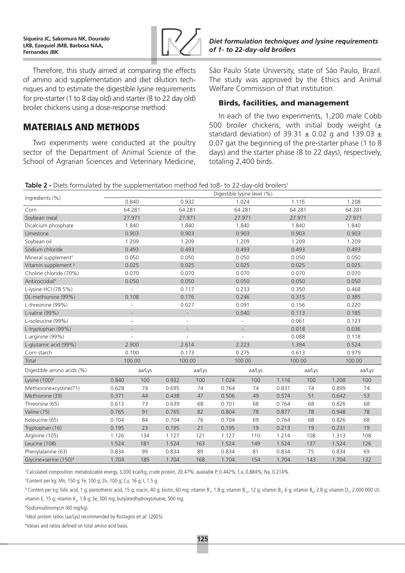

Therefore, this study aimed at comparing the effects of amino acid supplementation and diet dilution techniques and to estimate the digestible lysine requirements for pre-starter (1 to 8 day old) and starter (8 to 22 day old) broiler chickens using a dose-response method.

# Materials and methods

Two experiments were conducted at the poultry sector of the Department of Animal Science of the School of Agrarian Sciences and Veterinary Medicine, *Diet formulation techniques and lysine requirements of 1- to 22-day-old broilers*

São Paulo State University, state of São Paulo, Brazil. The study was approved by the Ethics and Animal Welfare Commission of that institution.

### Birds, facilities, and management

In each of the two experiments, 1,200 male Cobb 500 broiler chickens, with initial body weight  $(\pm$ standard deviation) of 39.31  $\pm$  0.02 g and 139.03  $\pm$ 0.07 gat the beginning of the pre-starter phase (1 to 8 days) and the starter phase (8 to 22 days), respectively, totaling 2,400 birds.

| Table 2 - Diets formulated by the supplementation method fed to8- to 22-day-old broilers <sup>+</sup> |  |  |  |  |  |
|-------------------------------------------------------------------------------------------------------|--|--|--|--|--|
|-------------------------------------------------------------------------------------------------------|--|--|--|--|--|

| Ingredients (%)                   |        |                          |       |                          | Digestible lysine level (%) |        |        |        |       |        |  |
|-----------------------------------|--------|--------------------------|-------|--------------------------|-----------------------------|--------|--------|--------|-------|--------|--|
|                                   |        | 0.840                    |       | 0.932                    |                             | 1.024  | 1.116  |        |       | 1.208  |  |
| Corn                              | 64.281 |                          |       | 64.281                   |                             | 64.281 | 64.281 |        |       | 64.281 |  |
| Soybean meal                      |        | 27.971                   |       | 27.971                   |                             | 27.971 | 27.971 |        |       | 27.971 |  |
| Dicalcium phosphate               |        | 1.840                    |       | 1.840                    |                             | 1.840  | 1.840  |        |       | 1.840  |  |
| Limestone                         |        | 0.903                    |       | 0.903                    |                             | 0.903  | 0.903  |        |       | 0.903  |  |
| Soybean oil                       |        | 1.209                    |       | 1.209                    |                             | 1.209  | 1.209  |        |       | 1.209  |  |
| Sodium chloride                   |        | 0.493                    |       | 0.493                    |                             | 0.493  | 0.493  |        |       | 0.493  |  |
| Mineral supplement <sup>#</sup>   |        | 0.050                    |       | 0.050                    |                             | 0.050  | 0.050  |        |       | 0.050  |  |
| Vitamin supplement §              |        | 0.025                    |       | 0.025                    |                             | 0.025  | 0.025  |        |       | 0.025  |  |
| Choline chloride (70%)            |        | 0.070                    |       | 0.070                    |                             | 0.070  | 0.070  |        |       | 0.070  |  |
| Anticoccidial <sup>¥</sup>        |        | 0.050                    |       | 0.050                    |                             | 0.050  | 0.050  |        |       | 0.050  |  |
| L-lysine HCl (78.5%)              |        | $\overline{\phantom{a}}$ |       | 0.117                    |                             | 0.233  |        | 0.350  |       | 0.468  |  |
| DL-methionine (99%)               |        | 0.108                    |       | 0.176                    |                             | 0.246  | 0.315  |        |       | 0.385  |  |
| L-threonine (99%)                 |        | $\overline{\phantom{a}}$ |       | 0.027                    |                             | 0.091  | 0.156  |        |       | 0.220  |  |
| L-valine (99%)                    |        | $\overline{a}$           |       | $\overline{\phantom{a}}$ |                             | 0.040  | 0.113  |        |       | 0.185  |  |
| L-isoleucine (99%)                |        | L,                       |       | $\overline{a}$           |                             |        | 0.061  |        |       | 0.123  |  |
| L-tryptophan (99%)                |        |                          |       | ÷,                       |                             |        | 0.018  |        |       | 0.036  |  |
| L-arginine (99%)                  |        |                          |       |                          |                             |        | 0.088  |        |       | 0.118  |  |
| L-glutamic acid (99%)             |        | 2.900                    |       | 2.614                    |                             | 2.223  | 1.394  |        |       | 0.524  |  |
| Corn starch                       |        | 0.100                    |       | 0.173                    |                             | 0.275  | 0.613  |        |       | 0.979  |  |
| Total                             |        | 100.00                   |       | 100.00                   |                             | 100.00 | 100.00 |        |       | 100.00 |  |
| Digestible amino acids (%)        |        | aa/Lys                   |       | aa/Lys                   |                             | aa/Lys |        | aa/Lys |       | aa/Lys |  |
| Lysine (100) <sup>£</sup>         | 0.840  | 100                      | 0.932 | 100                      | 1.024                       | 100    | 1.116  | 100    | 1.208 | 100    |  |
| Methionine+cystine(71)            | 0.628  | 74                       | 0.695 | 74                       | 0.764                       | 74     | 0.831  | 74     | 0.899 | 74     |  |
| Methionine (39)                   | 0.371  | 44                       | 0.438 | 47                       | 0.506                       | 49     | 0.574  | 51     | 0.642 | 53     |  |
| Threonine (65)                    | 0.613  | 73                       | 0.639 | 68                       | 0.701                       | 68     | 0.764  | 68     | 0.826 | 68     |  |
| Valine (75)                       | 0.765  | 91                       | 0.765 | 82                       | 0.804                       | 78     | 0.877  | 78     | 0.948 | 78     |  |
| Isoleucine (65)                   | 0.704  | 84                       | 0.704 | 76                       | 0.704                       | 69     | 0.764  | 68     | 0.826 | 68     |  |
| Tryptophan (16)                   | 0.195  | 23                       | 0.195 | 21                       | 0.195                       | 19     | 0.213  | 19     | 0.231 | 19     |  |
| Arginine (105)                    | 1.126  | 134                      | 1.127 | 121                      | 1.127                       | 110    | 1.214  | 108    | 1.313 | 108    |  |
| Leucine (108)                     | 1.524  | 181                      | 1.524 | 163                      | 1.524                       | 149    | 1.524  | 137    | 1.524 | 126    |  |
| Phenylalanine (63)                | 0.834  | 99                       | 0.834 | 89                       | 0.834                       | 81     | 0.834  | 75     | 0.834 | 69     |  |
| Glycine+serine (150) <sup>#</sup> | 1.704  | 185                      | 1.704 | 168                      | 1.704                       | 154    | 1.704  | 143    | 1.704 | 132    |  |

† Calculated composition: metabolizable energy, 3,000 kcal/kg; crude protein, 20.47%; available P, 0.442%; Ca, 0.884%; Na, 0.214%.

‡ Content per kg: Mn, 150 g; Fe, 100 g; Zn, 100 g; Cu, 16 g; I, 1.5 g.

 $^{\circ}$  Content per kg: folic acid, 1 g; pantothenic acid, 15 g; niacin, 40 g; biotin, 60 mg; vitamin B,, 1.8 g; vitamin B, $_{12'}$  12 g; vitamin B,, 6 g; vitamin B<sub>6</sub>, 2.8 g; vitamin D,, 2.000.000 UI; vitamin E, 15 g; vitamin K<sub>3</sub>, 1.8 g; Se, 300 mg; butylatedhydroxytoluene, 500 mg.

¥ Sodiumsalinomycin (60 mg/kg).

£ Ideal protein ratios (aa/Lys) recommended by Rostagno *et al.* (2005).

# Values and ratios defined on total amino acid basis.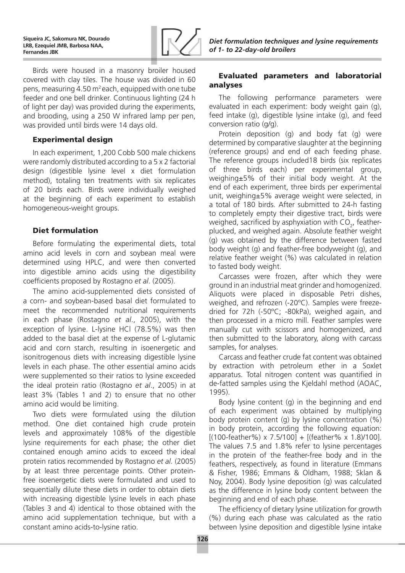

Birds were housed in a masonry broiler housed covered with clay tiles. The house was divided in 60 pens, measuring  $4.50$  m<sup>2</sup> each, equipped with one tube feeder and one bell drinker. Continuous lighting (24 h of light per day) was provided during the experiments, and brooding, using a 250 W infrared lamp per pen, was provided until birds were 14 days old.

### Experimental design

In each experiment, 1,200 Cobb 500 male chickens were randomly distributed according to a 5 x 2 factorial design (digestible lysine level x diet formulation method), totaling ten treatments with six replicates of 20 birds each. Birds were individually weighed at the beginning of each experiment to establish homogeneous-weight groups.

### Diet formulation

Before formulating the experimental diets, total amino acid levels in corn and soybean meal were determined using HPLC, and were then converted into digestible amino acids using the digestibility coefficients proposed by Rostagno *et al*. (2005).

The amino acid-supplemented diets consisted of a corn- and soybean-based basal diet formulated to meet the recommended nutritional requirements in each phase (Rostagno *et al*., 2005), with the exception of lysine. L-lysine HCl (78.5%) was then added to the basal diet at the expense of L-glutamic acid and corn starch, resulting in isoenergetic and isonitrogenous diets with increasing digestible lysine levels in each phase. The other essential amino acids were supplemented so their ratios to lysine exceeded the ideal protein ratio (Rostagno *et al*., 2005) in at least 3% (Tables 1 and 2) to ensure that no other amino acid would be limiting.

Two diets were formulated using the dilution method. One diet contained high crude protein levels and approximately 108% of the digestible lysine requirements for each phase; the other diet contained enough amino acids to exceed the ideal protein ratios recommended by Rostagno *et al.* (2005) by at least three percentage points. Other proteinfree isoenergetic diets were formulated and used to sequentially dilute these diets in order to obtain diets with increasing digestible lysine levels in each phase (Tables 3 and 4) identical to those obtained with the amino acid supplementation technique, but with a constant amino acids-to-lysine ratio.

### Evaluated parameters and laboratorial analyses

The following performance parameters were evaluated in each experiment: body weight gain (g), feed intake (g), digestible lysine intake (g), and feed conversion ratio (g/g).

Protein deposition (g) and body fat (g) were determined by comparative slaughter at the beginning (reference groups) and end of each feeding phase. The reference groups included18 birds (six replicates of three birds each) per experimental group, weighing±5% of their initial body weight. At the end of each experiment, three birds per experimental unit, weighing±5% average weight were selected, in a total of 180 birds. After submitted to 24-h fasting to completely empty their digestive tract, birds were weighed, sacrificed by asphyxiation with  $CO<sub>2</sub>$ , featherplucked, and weighed again. Absolute feather weight (g) was obtained by the difference between fasted body weight (g) and feather-free bodyweight (g), and relative feather weight (%) was calculated in relation to fasted body weight.

Carcasses were frozen, after which they were ground in an industrial meat grinder and homogenized. Aliquots were placed in disposable Petri dishes, weighed, and refrozen (-20ºC). Samples were freezedried for 72h (-50ºC; -80kPa), weighed again, and then processed in a micro mill. Feather samples were manually cut with scissors and homogenized, and then submitted to the laboratory, along with carcass samples, for analyses.

Carcass and feather crude fat content was obtained by extraction with petroleum ether in a Soxlet apparatus. Total nitrogen content was quantified in de-fatted samples using the Kjeldahl method (AOAC, 1995).

Body lysine content (g) in the beginning and end of each experiment was obtained by multiplying body protein content (g) by lysine concentration (%) in body protein, according the following equation:  $[(100-feature\%) \times 7.5/100] + [(feature\% \times 1.8)/100]$ . The values 7.5 and 1.8% refer to lysine percentages in the protein of the feather-free body and in the feathers, respectively, as found in literature (Emmans & Fisher, 1986; Emmans & Oldham, 1988; Sklan & Noy, 2004). Body lysine deposition (g) was calculated as the difference in lysine body content between the beginning and end of each phase.

The efficiency of dietary lysine utilization for growth (%) during each phase was calculated as the ratio between lysine deposition and digestible lysine intake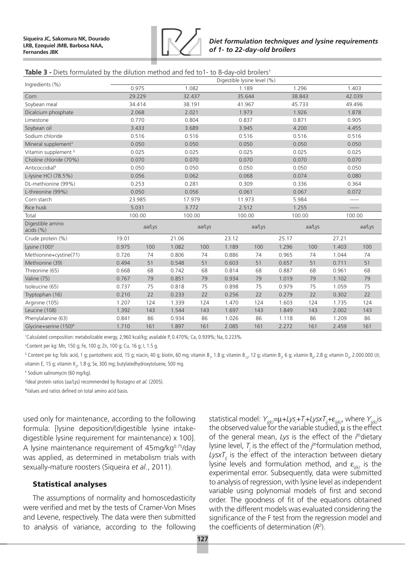

### **Table 3 -** Diets formulated by the dilution method and fed to1- to 8-day-old broilers†

| Ingredients (%)                 | Digestible lysine level (%) |        |       |        |       |        |       |        |       |        |  |  |
|---------------------------------|-----------------------------|--------|-------|--------|-------|--------|-------|--------|-------|--------|--|--|
|                                 | 0.975                       |        |       | 1.082  |       | 1.189  |       | 1.296  |       | 1.403  |  |  |
| Corn                            | 29.229                      |        |       | 32.437 |       | 35.644 |       | 38.843 |       | 42.039 |  |  |
| Soybean meal                    | 34.414                      |        |       | 38.191 |       | 41.967 |       | 45.733 |       | 49.496 |  |  |
| Dicalcium phosphate             | 2.068                       |        |       | 2.021  |       | 1.973  |       | 1.926  |       | 1.878  |  |  |
| Limestone                       | 0.770                       |        |       | 0.804  |       | 0.837  |       | 0.871  |       | 0.905  |  |  |
| Soybean oil                     | 3.433                       |        |       | 3.689  |       | 3.945  |       | 4.200  |       | 4.455  |  |  |
| Sodium chloride                 | 0.516                       |        |       | 0.516  |       | 0.516  |       | 0.516  |       | 0.516  |  |  |
| Mineral supplement <sup>#</sup> | 0.050                       |        |       | 0.050  |       | 0.050  |       | 0.050  |       | 0.050  |  |  |
| Vitamin supplement §            | 0.025                       |        |       | 0.025  |       | 0.025  |       | 0.025  |       | 0.025  |  |  |
| Choline chloride (70%)          | 0.070                       |        |       | 0.070  |       | 0.070  |       | 0.070  |       | 0.070  |  |  |
| Anticoccidial <sup>¥</sup>      | 0.050                       |        |       | 0.050  |       | 0.050  |       | 0.050  | 0.050 |        |  |  |
| L-lysine HCl (78.5%)            | 0.056                       |        |       | 0.062  |       | 0.068  |       | 0.074  | 0.080 |        |  |  |
| DL-methionine (99%)             | 0.253                       |        |       | 0.281  |       | 0.309  |       | 0.336  |       | 0.364  |  |  |
| L-threonine (99%)               | 0.050                       |        |       | 0.056  |       | 0.061  |       | 0.067  |       | 0.072  |  |  |
| Corn starch                     | 23.985                      |        |       | 17.979 |       | 11.973 |       | 5.984  |       | -----  |  |  |
| Rice husk                       | 5.031                       |        |       | 3.772  |       | 2.512  |       | 1.255  |       | -----  |  |  |
| Total                           | 100.00                      |        |       | 100.00 |       | 100.00 |       | 100.00 |       | 100.00 |  |  |
| Digestible amino<br>acids (%)   |                             | aa/Lys |       | aa/Lys |       | aa/Lys |       | aa/Lys |       | aa/Lys |  |  |
| Crude protein (%)               | 19.01                       |        | 21.06 |        | 23.12 |        | 25.17 |        | 27.21 |        |  |  |
| Lysine $(100)^f$                | 0.975                       | 100    | 1.082 | 100    | 1.189 | 100    | 1.296 | 100    | 1.403 | 100    |  |  |
| Methionine+cystine(71)          | 0.726                       | 74     | 0.806 | 74     | 0.886 | 74     | 0.965 | 74     | 1.044 | 74     |  |  |
| Methionine (39)                 | 0.494                       | 51     | 0.548 | 51     | 0.603 | 51     | 0.657 | 51     | 0.711 | 51     |  |  |
| Threonine (65)                  | 0.668                       | 68     | 0.742 | 68     | 0.814 | 68     | 0.887 | 68     | 0.961 | 68     |  |  |
| Valine (75)                     | 0.767                       | 79     | 0.851 | 79     | 0.934 | 79     | 1.019 | 79     | 1.102 | 79     |  |  |
| Isoleucine (65)                 | 0.737                       | 75     | 0.818 | 75     | 0.898 | 75     | 0.979 | 75     | 1.059 | 75     |  |  |
| Tryptophan (16)                 | 0.210                       | 22     | 0.233 | 22     | 0.256 | 22     | 0.279 | 22     | 0.302 | 22     |  |  |
| Arginine (105)                  | 1.207                       | 124    | 1.339 | 124    | 1.470 | 124    | 1.603 | 124    | 1.735 | 124    |  |  |
| Leucine (108)                   | 1.392                       | 143    | 1.544 | 143    | 1.697 | 143    | 1.849 | 143    | 2.002 | 143    |  |  |
| Phenylalanine (63)              | 0.841                       | 86     | 0.934 | 86     | 1.026 | 86     | 1.118 | 86     | 1.209 | 86     |  |  |
| Glycine+serine (150)#           | 1.710                       | 161    | 1.897 | 161    | 2.085 | 161    | 2.272 | 161    | 2.459 | 161    |  |  |

† Calculated composition: metabolizable energy, 2,960 kcal/kg; available P, 0.470%; Ca, 0.939%; Na, 0.223%.

‡ Content per kg: Mn, 150 g; Fe, 100 g; Zn, 100 g; Cu, 16 g; I, 1.5 g.

 $^{\circ}$  Content per kg: folic acid, 1 g; pantothenic acid, 15 g; niacin, 40 g; biotin, 60 mg; vitamin B,, 1.8 g; vitamin B, $_{12'}$  12 g; vitamin B,, 6 g; vitamin B<sub>6</sub>, 2.8 g; vitamin D,, 2.000.000 UI; vitamin E, 15 g; vitamin K<sub>3</sub>, 1.8 g; Se, 300 mg; butylatedhydroxytoluene, 500 mg.

¥ Sodium salinomycin (60 mg/kg).

£ Ideal protein ratios (aa/Lys) recommended by Rostagno *et al.* (2005).

# Values and ratios defined on total amino acid basis.

used only for maintenance, according to the following formula: [lysine deposition/(digestible lysine intakedigestible lysine requirement for maintenance) x 100]. A lysine maintenance requirement of  $45$ mg/kg $^{0.75}$ /day was applied, as determined in metabolism trials with sexually-mature roosters (Siqueira *et al*., 2011).

### Statistical analyses

The assumptions of normality and homoscedasticity were verified and met by the tests of Cramer-Von Mises and Levene, respectively. The data were then submitted to analysis of variance, according to the following statistical model: *Yij(k)=*m*+Lysi +Tj +LysxTij+*ε*ij(k)*, where *Yij(k)*is the observed value for the variable studied,  $\mu$  is the effect of the general mean, *Lys* is the effect of the *i th*dietary lysine level,  $T_j$  is the effect of the *j*<sup>th</sup>formulation method,  $LysxT<sub>ii</sub>$  is the effect of the interaction between dietary lysine levels and formulation method, and  $\varepsilon_{\text{in}(k)}$  is the experimental error. Subsequently, data were submitted to analysis of regression, with lysine level as independent variable using polynomial models of first and second order. The goodness of fit of the equations obtained with the different models was evaluated considering the significance of the F test from the regression model and the coefficients of determination (*R2* ).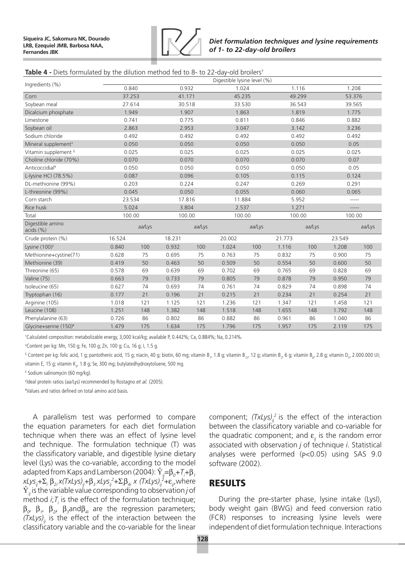

#### **Table 4 -** Diets formulated by the dilution method fed to 8- to 22-day-old broilers<sup>†</sup>

|                                 | Digestible lysine level (%) |        |        |        |        |        |        |        |        |         |  |  |
|---------------------------------|-----------------------------|--------|--------|--------|--------|--------|--------|--------|--------|---------|--|--|
| Ingredients (%)                 | 0.840                       |        | 0.932  |        | 1.024  |        | 1.116  |        |        | 1.208   |  |  |
| Corn                            | 37.253                      |        | 41.171 |        | 45.235 |        | 49.299 |        | 53.376 |         |  |  |
| Soybean meal                    | 27.614                      |        | 30.518 |        | 33.530 |        | 36.543 |        | 39.565 |         |  |  |
| Dicalcium phosphate             | 1.949                       |        | 1.907  |        | 1.863  |        | 1.819  |        | 1.775  |         |  |  |
| Limestone                       | 0.741                       |        | 0.775  |        | 0.811  |        | 0.846  |        | 0.882  |         |  |  |
| Soybean oil                     | 2.863                       |        | 2.953  |        | 3.047  |        | 3.142  |        | 3.236  |         |  |  |
| Sodium chloride                 | 0.492                       |        | 0.492  |        | 0.492  |        | 0.492  |        | 0.492  |         |  |  |
| Mineral supplement <sup>#</sup> | 0.050                       |        | 0.050  |        | 0.050  |        | 0.050  |        | 0.05   |         |  |  |
| Vitamin supplement §            | 0.025                       |        | 0.025  |        | 0.025  |        | 0.025  |        | 0.025  |         |  |  |
| Choline chloride (70%)          | 0.070                       |        | 0.070  |        | 0.070  |        | 0.070  |        | 0.07   |         |  |  |
| Anticoccidial <sup>¥</sup>      | 0.050                       |        | 0.050  |        | 0.050  |        | 0.050  |        |        | 0.05    |  |  |
| L-lysine HCl (78.5%)            | 0.087                       |        | 0.096  |        | 0.105  |        | 0.115  |        |        | 0.124   |  |  |
| DL-methionine (99%)             | 0.203                       |        | 0.224  |        | 0.247  |        | 0.269  |        | 0.291  |         |  |  |
| L-threonine (99%)               | 0.045                       |        | 0.050  |        | 0.055  |        | 0.060  |        | 0.065  |         |  |  |
| Corn starch                     | 23.534                      |        | 17.816 |        | 11.884 |        | 5.952  |        |        | $-----$ |  |  |
| Rice husk                       | 5.024                       |        | 3.804  |        | 2.537  |        | 1.271  |        |        | -----   |  |  |
| Total                           | 100.00                      |        | 100.00 |        | 100.00 |        | 100.00 |        | 100.00 |         |  |  |
| Digestible amino<br>acids(%)    |                             | aa/Lys |        | aa/Lys |        | aa/Lys |        | aa/Lys |        | aa/Lys  |  |  |
| Crude protein (%)               | 16.524                      |        | 18.231 |        | 20.002 |        | 21.773 |        | 23.549 |         |  |  |
| Lysine $(100)^f$                | 0.840                       | 100    | 0.932  | 100    | 1.024  | 100    | 1.116  | 100    | 1.208  | 100     |  |  |
| Methionine+cystine(71)          | 0.628                       | 75     | 0.695  | 75     | 0.763  | 75     | 0.832  | 75     | 0.900  | 75      |  |  |
| Methionine (39)                 | 0.419                       | 50     | 0.463  | 50     | 0.509  | 50     | 0.554  | 50     | 0.600  | 50      |  |  |
| Threonine (65)                  | 0.578                       | 69     | 0.639  | 69     | 0.702  | 69     | 0.765  | 69     | 0.828  | 69      |  |  |
| Valine (75)                     | 0.663                       | 79     | 0.733  | 79     | 0.805  | 79     | 0.878  | 79     | 0.950  | 79      |  |  |
| Isoleucine (65)                 | 0.627                       | 74     | 0.693  | 74     | 0.761  | 74     | 0.829  | 74     | 0.898  | 74      |  |  |
| Tryptophan (16)                 | 0.177                       | 21     | 0.196  | 21     | 0.215  | 21     | 0.234  | 21     | 0.254  | 21      |  |  |
| Arginine (105)                  | 1.018                       | 121    | 1.125  | 121    | 1.236  | 121    | 1.347  | 121    | 1.458  | 121     |  |  |
| Leucine (108)                   | 1.251                       | 148    | 1.382  | 148    | 1.518  | 148    | 1.655  | 148    | 1.792  | 148     |  |  |
| Phenylalanine (63)              | 0.726                       | 86     | 0.802  | 86     | 0.882  | 86     | 0.961  | 86     | 1.040  | 86      |  |  |
| Glycine+serine (150)#           | 1.479                       | 175    | 1.634  | 175    | 1.796  | 175    | 1.957  | 175    | 2.119  | 175     |  |  |

† Calculated composition: metabolizable energy, 3,000 kcal/kg; available P, 0.442%; Ca, 0.884%; Na, 0.214%.

‡ Content per kg: Mn, 150 g; Fe, 100 g; Zn, 100 g; Cu, 16 g; I, 1.5 g.

 $^{\circ}$  Content per kg: folic acid, 1 g; pantothenic acid, 15 g; niacin, 40 g; biotin, 60 mg; vitamin B,, 1.8 g; vitamin B, $_{12'}$  12 g; vitamin B,, 6 g; vitamin B<sub>6</sub>, 2.8 g; vitamin D,, 2.000.000 UI; vitamin E, 15 g; vitamin K<sub>3</sub>, 1.8 g; Se, 300 mg; butylatedhydroxytoluene, 500 mg.

¥ Sodium salinomycin (60 mg/kg).

£ Ideal protein ratios (aa/Lys) recommended by Rostagno *et al.* (2005).

# Values and ratios defined on total amino acid basis.

A parallelism test was performed to compare the equation parameters for each diet formulation technique when there was an effect of lysine level and technique. The formulation technique (T) was the classificatory variable, and digestible lysine dietary level (Lys) was the co-variable, according to the model adapted from Kaps and Lamberson (2004):  $\hat{\Upsilon}_{ij}$ = $\beta_o$ +7<sub>i</sub>+ $\beta_j$ *xLysij+*Σ*<sup>i</sup>* β*2i x(TxLys)ij+*β*3 xLysij 2 +*Σ*<sup>i</sup>* β*4i x (TxLys)ij 2 +*ε*ij*,where  $\hat{Y}_{ii}$  is the variable value corresponding to observation *j* of method  $i$ ; $T$ <sub>i</sub> is the effect of the formulation technique;  $β<sub>σ</sub>$   $β<sub>1</sub>$ ,  $β<sub>2</sub>$ ,  $β<sub>3</sub>$  and $β<sub>4i</sub>$  are the regression parameters; *(TxLys)<sub>ii</sub>* is the effect of the interaction between the classificatory variable and the co-variable for the linear

component;  $(TxLys)<sub>ij</sub><sup>2</sup>$  is the effect of the interaction between the classificatory variable and co-variable for the quadratic component; and  $\varepsilon_{ii}$  is the random error associated with observation *j* of technique *i*. Statistical analyses were performed (P<0.05) using SAS 9.0 software (2002).

## **RESULTS**

During the pre-starter phase, lysine intake (LysI), body weight gain (BWG) and feed conversion ratio (FCR) responses to increasing lysine levels were independent of diet formulation technique. Interactions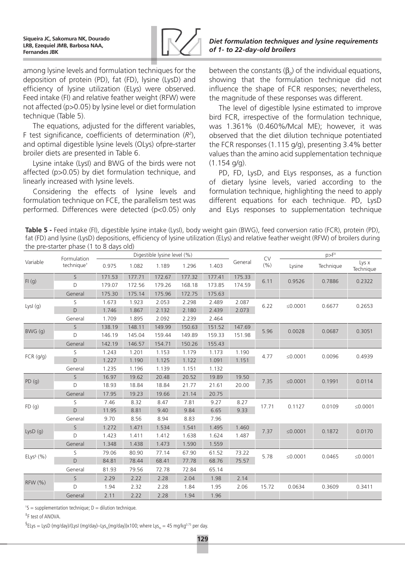

among lysine levels and formulation techniques for the deposition of protein (PD), fat (FD), lysine (LysD) and efficiency of lysine utilization (ELys) were observed. Feed intake (FI) and relative feather weight (RFW) were not affected (p>0.05) by lysine level or diet formulation technique (Table 5).

The equations, adjusted for the different variables, F test significance, coefficients of determination (*R2* ), and optimal digestible lysine levels (OLys) ofpre-starter broiler diets are presented in Table 6.

Lysine intake (LysI) and BWG of the birds were not affected (p>0.05) by diet formulation technique, and linearly increased with lysine levels.

Considering the effects of lysine levels and formulation technique on FCE, the parallelism test was performed. Differences were detected (p<0.05) only *of 1- to 22-day-old broilers*

*Diet formulation techniques and lysine requirements* 

between the constants  $(β<sub>o</sub>)$  of the individual equations, showing that the formulation technique did not influence the shape of FCR responses; nevertheless, the magnitude of these responses was different.

The level of digestible lysine estimated to improve bird FCR, irrespective of the formulation technique, was 1.361% (0.460%/Mcal ME); however, it was observed that the diet dilution technique potentiated the FCR responses (1.115 g/g), presenting 3.4% better values than the amino acid supplementation technique  $(1.154 \text{ q/q}).$ 

PD, FD, LysD, and ELys responses, as a function of dietary lysine levels, varied according to the formulation technique, highlighting the need to apply different equations for each technique. PD, LysD and ELys responses to supplementation technique

**Table 5 -** Feed intake (FI), digestible lysine intake (LysI), body weight gain (BWG), feed conversion ratio (FCR), protein (PD), fat (FD) and lysine (LysD) depositions, efficiency of lysine utilization (ELys) and relative feather weight (RFW) of broilers during the pre-starter phase (1 to 8 days old)

|                 | Formulation            |        |        | Digestible lysine level (%) |        |        |         | <b>CV</b> |            | $p>F^+$   |                    |
|-----------------|------------------------|--------|--------|-----------------------------|--------|--------|---------|-----------|------------|-----------|--------------------|
| Variable        | technique <sup>+</sup> | 0.975  | 1.082  | 1.189                       | 1.296  | 1.403  | General | (%)       | Lysine     | Technique | Lys x<br>Technique |
|                 | $\mathsf{S}$           | 171.53 | 177.71 | 172.67                      | 177.32 | 177.41 | 175.33  | 6.11      | 0.9526     | 0.7886    | 0.2322             |
| FI(g)           | D                      | 179.07 | 172.56 | 179.26                      | 168.18 | 173.85 | 174.59  |           |            |           |                    |
|                 | General                | 175.30 | 175.14 | 175.96                      | 172.75 | 175.63 |         |           |            |           |                    |
|                 | S                      | 1.673  | 1.923  | 2.053                       | 2.298  | 2.489  | 2.087   | 6.22      | ≤ $0.0001$ | 0.6677    | 0.2653             |
| Lysl $(q)$      | D                      | 1.746  | 1.867  | 2.132                       | 2.180  | 2.439  | 2.073   |           |            |           |                    |
|                 | General                | 1.709  | 1.895  | 2.092                       | 2.239  | 2.464  |         |           |            |           |                    |
|                 | S.                     | 138.19 | 148.11 | 149.99                      | 150.63 | 151.52 | 147.69  | 5.96      | 0.0028     | 0.0687    | 0.3051             |
| BWG(q)          | $\Box$                 | 146.19 | 145.04 | 159.44                      | 149.89 | 159.33 | 151.98  |           |            |           |                    |
|                 | General                | 142.19 | 146.57 | 154.71                      | 150.26 | 155.43 |         |           |            |           |                    |
|                 | S                      | 1.243  | 1.201  | 1.153                       | 1.179  | 1.173  | 1.190   |           |            |           |                    |
| $FCR$ ( $q/q$ ) | D                      | 1.227  | 1.190  | 1.125                       | 1.122  | 1.091  | 1.151   | 4.77      | ≤ $0.0001$ | 0.0096    | 0.4939             |
|                 | General                | 1.235  | 1.196  | 1.139                       | 1.151  | 1.132  |         |           |            |           |                    |
|                 | S.                     | 16.97  | 19.62  | 20.48                       | 20.52  | 19.89  | 19.50   | 7.35      | ≤0.0001    | 0.1991    | 0.0114             |
| PD(g)           | D                      | 18.93  | 18.84  | 18.84                       | 21.77  | 21.61  | 20.00   |           |            |           |                    |
|                 | General                | 17.95  | 19.23  | 19.66                       | 21.14  | 20.75  |         |           |            |           |                    |
| FD(g)           | S                      | 7.46   | 8.32   | 8.47                        | 7.81   | 9.27   | 8.27    | 17.71     | 0.1127     | 0.0109    | ≤ $0.0001$         |
|                 | D                      | 11.95  | 8.81   | 9.40                        | 9.84   | 6.65   | 9.33    |           |            |           |                    |
|                 | General                | 9.70   | 8.56   | 8.94                        | 8.83   | 7.96   |         |           |            |           |                    |
|                 | S                      | 1.272  | 1.471  | 1.534                       | 1.541  | 1.495  | 1.460   | 7.37      | ≤0.0001    | 0.1872    | 0.0170             |
| LysD(q)         | D                      | 1.423  | 1.411  | 1.412                       | 1.638  | 1.624  | 1.487   |           |            |           |                    |
|                 | General                | 1.348  | 1.438  | 1.473                       | 1.590  | 1.559  |         |           |            |           |                    |
|                 | S                      | 79.06  | 80.90  | 77.14                       | 67.90  | 61.52  | 73.22   | 5.78      |            |           |                    |
| $ELys^{\S}$ (%) | D                      | 84.81  | 78.44  | 68.41                       | 77.78  | 68.76  | 75.57   |           | ≤ $0.0001$ | 0.0465    | ≤ $0.0001$         |
|                 | General                | 81.93  | 79.56  | 72.78                       | 72.84  | 65.14  |         |           |            |           |                    |
|                 | S                      | 2.29   | 2.22   | 2.28                        | 2.04   | 1.98   | 2.14    |           |            |           |                    |
| RFW (%)         | D                      | 1.94   | 2.32   | 2.28                        | 1.84   | 1.95   | 2.06    | 15.72     | 0.0634     | 0.3609    | 0.3411             |
|                 | General                | 2.11   | 2.22   | 2.28                        | 1.94   | 1.96   |         |           |            |           |                    |

 $tS =$  supplementation technique;  $D =$  dilution technique.

‡ F test of ANOVA.

 $^{\text{S}}$ ELys = LysD (mg/day)/(LysI (mg/day)—Lys<sub>m</sub>(mg/day))x100; where Lys<sub>m</sub> = 45 mg/kg<sup>0.75</sup> per day.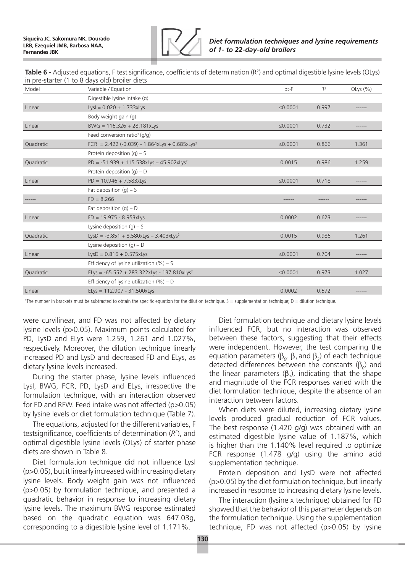

**Table 6 -** Adjusted equations, F test significance, coefficients of determination (R<sup>2</sup>) and optimal digestible lysine levels (OLys) in pre-starter (1 to 8 days old) broiler diets

| Model     | Variable / Equation                                         | p>F           | $R^2$ | OLys $(\%)$ |
|-----------|-------------------------------------------------------------|---------------|-------|-------------|
|           | Digestible lysine intake (g)                                |               |       |             |
| Linear    | $LysI = 0.020 + 1.733xLys$                                  | ≤0.0001       | 0.997 |             |
|           | Body weight gain (g)                                        |               |       |             |
| Linear    | $BWG = 116.326 + 28.181xLys$                                | ≤0.0001       | 0.732 | -----       |
|           | Feed conversion ratio <sup>+</sup> (g/g)                    |               |       |             |
| Quadratic | FCR = $2.422$ (-0.039) - 1.864xLys + 0.685xLys <sup>2</sup> | $\leq 0.0001$ | 0.866 | 1.361       |
|           | Protein deposition $(q) - S$                                |               |       |             |
| Quadratic | $PD = -51.939 + 115.538xLys - 45.902xLys2$                  | 0.0015        | 0.986 | 1.259       |
|           | Protein deposition $(g) - D$                                |               |       |             |
| Linear    | $PD = 10.946 + 7.583xLys$                                   | $\leq 0.0001$ | 0.718 | -----       |
|           | Fat deposition $(g) - S$                                    |               |       |             |
|           | $FD = 8.266$                                                |               |       |             |
|           | Fat deposition $(q) - D$                                    |               |       |             |
| Linear    | $FD = 19.975 - 8.953xLys$                                   | 0.0002        | 0.623 |             |
|           | Lysine deposition $(q) - S$                                 |               |       |             |
| Quadratic | LysD = $-3.851 + 8.580xLys - 3.403xLys2$                    | 0.0015        | 0.986 | 1.261       |
|           | Lysine deposition $(g) - D$                                 |               |       |             |
| Linear    | $LysD = 0.816 + 0.575xLys$                                  | $\leq 0.0001$ | 0.704 |             |
|           | Efficiency of lysine utilization $(\%)-S$                   |               |       |             |
| Quadratic | ELys = $-65.552 + 283.322xLys - 137.810xLys2$               | $\leq 0.0001$ | 0.973 | 1.027       |
|           | Efficiency of lysine utilization $(% )$ – D                 |               |       |             |
| Linear    | ELys = 112.907 - 31.500xLys                                 | 0.0002        | 0.572 |             |

† The number in brackets must be subtracted to obtain the specific equation for the dilution technique. S = supplementation technique; D = dilution technique.

were curvilinear, and FD was not affected by dietary lysine levels (p>0.05). Maximum points calculated for PD, LysD and ELys were 1.259, 1.261 and 1.027%, respectively. Moreover, the dilution technique linearly increased PD and LysD and decreased FD and ELys, as dietary lysine levels increased.

During the starter phase, lysine levels influenced LysI, BWG, FCR, PD, LysD and ELys, irrespective the formulation technique, with an interaction observed for FD and RFW. Feed intake was not affected (p>0.05) by lysine levels or diet formulation technique (Table 7).

The equations, adjusted for the different variables, F testsignificance, coefficients of determination (*R2* ), and optimal digestible lysine levels (OLys) of starter phase diets are shown in Table 8.

Diet formulation technique did not influence LysI (p>0.05), but it linearly increased with increasing dietary lysine levels. Body weight gain was not influenced (p>0.05) by formulation technique, and presented a quadratic behavior in response to increasing dietary lysine levels. The maximum BWG response estimated based on the quadratic equation was 647.03g, corresponding to a digestible lysine level of 1.171%.

Diet formulation technique and dietary lysine levels influenced FCR, but no interaction was observed between these factors, suggesting that their effects were independent. However, the test comparing the equation parameters ( $\beta_{\alpha}$ ,  $\beta_{1}$  and  $\beta_{2}$ ) of each technique detected differences between the constants ( $\beta_o$ ) and the linear parameters  $(β<sub>1</sub>)$ , indicating that the shape and magnitude of the FCR responses varied with the diet formulation technique, despite the absence of an interaction between factors.

When diets were diluted, increasing dietary lysine levels produced gradual reduction of FCR values. The best response (1.420 g/g) was obtained with an estimated digestible lysine value of 1.187%, which is higher than the 1.140% level required to optimize FCR response (1.478 g/g) using the amino acid supplementation technique.

Protein deposition and LysD were not affected (p>0.05) by the diet formulation technique, but linearly increased in response to increasing dietary lysine levels.

The interaction (lysine x technique) obtained for FD showed that the behavior of this parameter depends on the formulation technique. Using the supplementation technique, FD was not affected (p>0.05) by lysine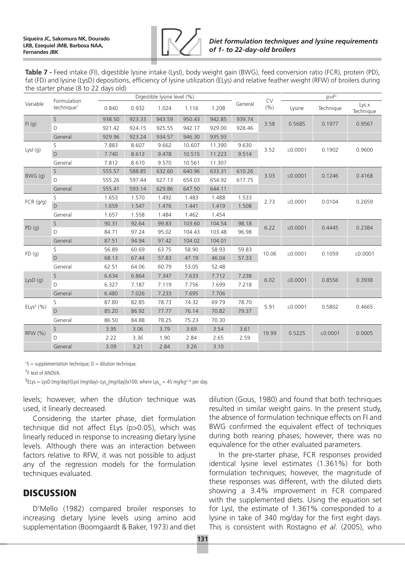

**Table 7 -** Feed intake (FI), digestible lysine intake (LysI), body weight gain (BWG), feed conversion ratio (FCR), protein (PD), fat (FD) and lysine (LysD) depositions, efficiency of lysine utilization (ELys) and relative feather weight (RFW) of broilers during the starter phase (8 to 22 days old)

|                 | Formulation            |        | Digestible lysine level (%) |        |        |        | <b>CV</b> | $p>F^+$ |               |            |                    |
|-----------------|------------------------|--------|-----------------------------|--------|--------|--------|-----------|---------|---------------|------------|--------------------|
| Variable        | technique <sup>+</sup> | 0.840  | 0.932                       | 1.024  | 1.116  | 1.208  | General   | (% )    | Lysine        | Technique  | Lys x<br>Technique |
|                 | $\mathsf{S}$           | 938.50 | 923.33                      | 943.59 | 950.43 | 942.85 | 939.74    | 3.58    | 0.5685        | 0.1977     | 0.9567             |
| FI(g)           | D                      | 921.42 | 924.15                      | 925.55 | 942.17 | 929.00 | 928.46    |         |               |            |                    |
|                 | General                | 929.96 | 923.24                      | 934.57 | 946.30 | 935.93 |           |         |               |            |                    |
|                 | S                      | 7.883  | 8.607                       | 9.662  | 10.607 | 11.390 | 9.630     | 3.52    | ≤ $0.0001$    | 0.1902     | 0.9600             |
| Lysl $(g)$      | $\mathsf D$            | 7.740  | 8.613                       | 9.478  | 10.515 | 11.223 | 9.514     |         |               |            |                    |
|                 | General                | 7.812  | 8.610                       | 9.570  | 10.561 | 11.307 |           |         |               |            |                    |
| BWG(q)          | $\mathsf S$            | 555.57 | 588.85                      | 632.60 | 640.96 | 633.31 | 610.26    | 3.03    | ≤ $0.0001$    | 0.1246     | 0.4168             |
|                 | D                      | 555.26 | 597.44                      | 627.13 | 654.03 | 654.92 | 617.75    |         |               |            |                    |
|                 | General                | 555.41 | 593.14                      | 629.86 | 647.50 | 644.11 |           |         |               |            |                    |
| FCR (g/g)       | S                      | 1.653  | 1.570                       | 1.492  | 1.483  | 1.488  | 1.533     | 2.73    | ≤ $0.0001$    | 0.0104     | 0.2659             |
|                 | $\mathsf D$            | 1.659  | 1.547                       | 1.476  | 1.441  | 1.419  | 1.508     |         |               |            |                    |
|                 | General                | 1.657  | 1.558                       | 1.484  | 1.462  | 1.454  |           |         |               |            |                    |
| PD(g)           | $\mathsf{S}$           | 90.31  | 92.64                       | 99.83  | 103.60 | 104.54 | 98.18     | 6.22    | ≤ $0.0001$    | 0.4445     | 0.2384             |
|                 | D                      | 84.71  | 97.24                       | 95.02  | 104.43 | 103.48 | 96.98     |         |               |            |                    |
|                 | General                | 87.51  | 94.94                       | 97.42  | 104.02 | 104.01 |           |         |               |            |                    |
| FD(g)           | S                      | 56.89  | 60.69                       | 63.75  | 58.90  | 58.93  | 59.83     | 10.06   | ≤ $0.0001$    | 0.1059     | ≤ $0.0001$         |
|                 | D                      | 68.13  | 67.44                       | 57.83  | 47.19  | 46.04  | 57.33     |         |               |            |                    |
|                 | General                | 62.51  | 64.06                       | 60.79  | 53.05  | 52.48  |           |         |               |            |                    |
| LysD $(q)$      | $\mathsf{S}$           | 6.634  | 6.864                       | 7.347  | 7.633  | 7.712  | 7.238     | 6.02    | $\leq 0.0001$ | 0.8556     | 0.3938             |
|                 | D                      | 6.327  | 7.187                       | 7.119  | 7.756  | 7.699  | 7.218     |         |               |            |                    |
|                 | General                | 6.480  | 7.026                       | 7.233  | 7.695  | 7.706  |           |         |               |            |                    |
|                 | S                      | 87.80  | 82.85                       | 78.73  | 74.32  | 69.79  | 78.70     | 5.91    | ≤ $0.0001$    | 0.5802     | 0.4665             |
| $ELys^{\S}$ (%) | D                      | 85.20  | 86.92                       | 77.77  | 76.14  | 70.82  | 79.37     |         |               |            |                    |
|                 | General                | 86.50  | 84.88                       | 78.25  | 75.23  | 70.30  |           |         |               |            |                    |
|                 | $\mathsf{S}$           | 3.95   | 3.06                        | 3.79   | 3.69   | 3.54   | 3.61      |         |               |            |                    |
| RFW (%)         | D                      | 2.22   | 3.36                        | 1.90   | 2.84   | 2.65   | 2.59      | 19.99   | 0.5225        | ≤ $0.0001$ | 0.0005             |
|                 | General                | 3.09   | 3.21                        | 2.84   | 3.26   | 3.10   |           |         |               |            |                    |

 ${}^{\dagger}$ S = supplementation technique; D = dilution technique.

‡ F test of ANOVA.

 $^{\text{S}}$ ELys = LysD (mg/day)/(LysI (mg/day)—Lys<sub>m</sub>(mg/day))x100; where Lys<sub>m</sub> = 45 mg/kg<sup>0.75</sup> per day.

levels; however, when the dilution technique was used, it linearly decreased.

Considering the starter phase, diet formulation technique did not affect ELys (p>0.05), which was linearly reduced in response to increasing dietary lysine levels. Although there was an interaction between factors relative to RFW, it was not possible to adjust any of the regression models for the formulation techniques evaluated.

## **DISCUSSION**

D'Mello (1982) compared broiler responses to increasing dietary lysine levels using amino acid supplementation (Boomgaardt & Baker, 1973) and diet dilution (Gous, 1980) and found that both techniques resulted in similar weight gains. In the present study, the absence of formulation technique effects on FI and BWG confirmed the equivalent effect of techniques during both rearing phases; however, there was no equivalence for the other evaluated parameters.

In the pre-starter phase, FCR responses provided identical lysine level estimates (1.361%) for both formulation techniques; however, the magnitude of these responses was different, with the diluted diets showing a 3.4% improvement in FCR compared with the supplemented diets. Using the equation set for LysI, the estimate of 1.361% corresponded to a lysine in take of 340 mg/day for the first eight days. This is consistent with Rostagno *et al*. (2005), who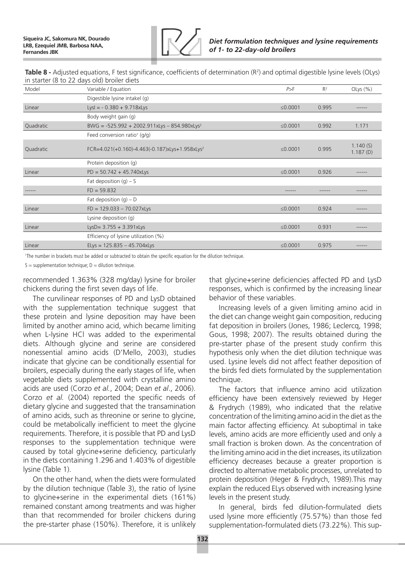

**Table 8 -** Adjusted equations, F test significance, coefficients of determination (R<sup>2</sup>) and optimal digestible lysine levels (OLys) in starter (8 to 22 days old) broiler diets

| Model     | Variable / Equation                                        | P>F        | $R^2$ | OLys $(% )$          |
|-----------|------------------------------------------------------------|------------|-------|----------------------|
|           | Digestible lysine intakel (g)                              |            |       |                      |
| Linear    | $LysI = -0.380 + 9.718xLys$                                | ≤0.0001    | 0.995 | ------               |
|           | Body weight gain (g)                                       |            |       |                      |
| Quadratic | BWG = $-525.992 + 2002.911xLys - 854.980xLys2$             | ≤ $0.0001$ | 0.992 | 1.171                |
|           | Feed conversion ratio <sup>+</sup> (g/g)                   |            |       |                      |
| Quadratic | FCR=4.021(+0.160)-4.463(-0.187)xLys+1.958xLys <sup>2</sup> | ≤ $0.0001$ | 0.995 | 1.140(S)<br>1.187(D) |
|           | Protein deposition (q)                                     |            |       |                      |
| Linear    | $PD = 50.742 + 45.740xLys$                                 | ≤ $0.0001$ | 0.926 | ------               |
|           | Fat deposition $(q) - S$                                   |            |       |                      |
|           | $FD = 59.832$                                              |            |       |                      |
|           | Fat deposition $(g) - D$                                   |            |       |                      |
| Linear    | $FD = 129.033 - 70.027xLys$                                | ≤ $0.0001$ | 0.924 |                      |
|           | Lysine deposition (q)                                      |            |       |                      |
| Linear    | LysD= $3.755 + 3.391xLys$                                  | ≤ $0.0001$ | 0.931 | ------               |
|           | Efficiency of lysine utilization (%)                       |            |       |                      |
| Linear    | ELys = $125.835 - 45.704xLys$                              | ≤ $0.0001$ | 0.975 | ------               |

† The number in brackets must be added or subtracted to obtain the specific equation for the dilution technique.

 $S =$  supplementation technique;  $D =$  dilution technique.

recommended 1.363% (328 mg/day) lysine for broiler chickens during the first seven days of life.

The curvilinear responses of PD and LysD obtained with the supplementation technique suggest that these protein and lysine deposition may have been limited by another amino acid, which became limiting when L-lysine HCl was added to the experimental diets. Although glycine and serine are considered nonessential amino acids (D'Mello, 2003), studies indicate that glycine can be conditionally essential for broilers, especially during the early stages of life, when vegetable diets supplemented with crystalline amino acids are used (Corzo *et al.*, 2004; Dean *et al*., 2006). Corzo *et al.* (2004) reported the specific needs of dietary glycine and suggested that the transamination of amino acids, such as threonine or serine to glycine, could be metabolically inefficient to meet the glycine requirements. Therefore, it is possible that PD and LysD responses to the supplementation technique were caused by total glycine+serine deficiency, particularly in the diets containing 1.296 and 1.403% of digestible lysine (Table 1).

On the other hand, when the diets were formulated by the dilution technique (Table 3), the ratio of lysine to glycine+serine in the experimental diets (161%) remained constant among treatments and was higher than that recommended for broiler chickens during the pre-starter phase (150%). Therefore, it is unlikely

that glycine+serine deficiencies affected PD and LysD responses, which is confirmed by the increasing linear behavior of these variables.

Increasing levels of a given limiting amino acid in the diet can change weight gain composition, reducing fat deposition in broilers (Jones, 1986; Leclercq, 1998; Gous, 1998; 2007). The results obtained during the pre-starter phase of the present study confirm this hypothesis only when the diet dilution technique was used. Lysine levels did not affect feather deposition of the birds fed diets formulated by the supplementation technique.

The factors that influence amino acid utilization efficiency have been extensively reviewed by Heger & Frydrych (1989), who indicated that the relative concentration of the limiting amino acid in the diet as the main factor affecting efficiency. At suboptimal in take levels, amino acids are more efficiently used and only a small fraction is broken down. As the concentration of the limiting amino acid in the diet increases, its utilization efficiency decreases because a greater proportion is directed to alternative metabolic processes, unrelated to protein deposition (Heger & Frydrych, 1989).This may explain the reduced ELys observed with increasing lysine levels in the present study.

In general, birds fed dilution-formulated diets used lysine more efficiently (75.57%) than those fed supplementation-formulated diets (73.22%). This sup-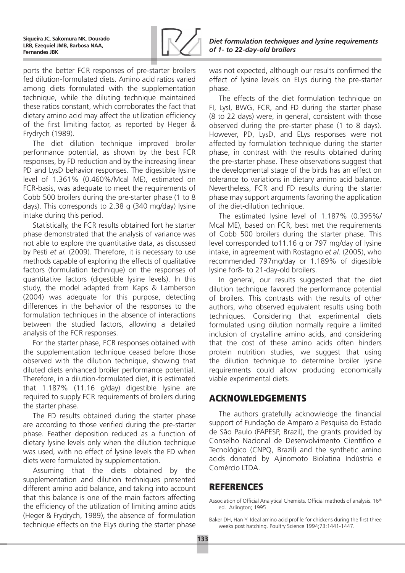

ports the better FCR responses of pre-starter broilers fed dilution-formulated diets. Amino acid ratios varied among diets formulated with the supplementation technique, while the diluting technique maintained these ratios constant, which corroborates the fact that dietary amino acid may affect the utilization efficiency of the first limiting factor, as reported by Heger & Frydrych (1989).

The diet dilution technique improved broiler performance potential, as shown by the best FCR responses, by FD reduction and by the increasing linear PD and LysD behavior responses. The digestible lysine level of 1.361% (0.460%/Mcal ME), estimated on FCR-basis, was adequate to meet the requirements of Cobb 500 broilers during the pre-starter phase (1 to 8 days). This corresponds to 2.38 g (340 mg/day) lysine intake during this period.

Statistically, the FCR results obtained fort he starter phase demonstrated that the analysis of variance was not able to explore the quantitative data, as discussed by Pesti *et al.* (2009). Therefore, it is necessary to use methods capable of exploring the effects of qualitative factors (formulation technique) on the responses of quantitative factors (digestible lysine levels). In this study, the model adapted from Kaps & Lamberson (2004) was adequate for this purpose, detecting differences in the behavior of the responses to the formulation techniques in the absence of interactions between the studied factors, allowing a detailed analysis of the FCR responses.

For the starter phase, FCR responses obtained with the supplementation technique ceased before those observed with the dilution technique, showing that diluted diets enhanced broiler performance potential. Therefore, in a dilution-formulated diet, it is estimated that 1.187% (11.16 g/day) digestible lysine are required to supply FCR requirements of broilers during the starter phase.

The FD results obtained during the starter phase are according to those verified during the pre-starter phase. Feather deposition reduced as a function of dietary lysine levels only when the dilution technique was used, with no effect of lysine levels the FD when diets were formulated by supplementation.

Assuming that the diets obtained by the supplementation and dilution techniques presented different amino acid balance, and taking into account that this balance is one of the main factors affecting the efficiency of the utilization of limiting amino acids (Heger & Frydrych, 1989), the absence of formulation technique effects on the ELys during the starter phase

was not expected, although our results confirmed the effect of lysine levels on ELys during the pre-starter phase.

The effects of the diet formulation technique on FI, LysI, BWG, FCR, and FD during the starter phase (8 to 22 days) were, in general, consistent with those observed during the pre-starter phase (1 to 8 days). However, PD, LysD, and ELys responses were not affected by formulation technique during the starter phase, in contrast with the results obtained during the pre-starter phase. These observations suggest that the developmental stage of the birds has an effect on tolerance to variations in dietary amino acid balance. Nevertheless, FCR and FD results during the starter phase may support arguments favoring the application of the diet-dilution technique.

The estimated lysine level of 1.187% (0.395%/ Mcal ME), based on FCR, best met the requirements of Cobb 500 broilers during the starter phase. This level corresponded to11.16 g or 797 mg/day of lysine intake, in agreement with Rostagno *et al.* (2005), who recommended 797mg/day or 1.189% of digestible lysine for8- to 21-day-old broilers.

In general, our results suggested that the diet dilution technique favored the performance potential of broilers. This contrasts with the results of other authors, who observed equivalent results using both techniques. Considering that experimental diets formulated using dilution normally require a limited inclusion of crystalline amino acids, and considering that the cost of these amino acids often hinders protein nutrition studies, we suggest that using the dilution technique to determine broiler lysine requirements could allow producing economically viable experimental diets.

## Acknowledgements

The authors gratefully acknowledge the financial support of Fundação de Amparo a Pesquisa do Estado de São Paulo (FAPESP, Brazil), the grants provided by Conselho Nacional de Desenvolvimento Científico e Tecnológico (CNPQ, Brazil) and the synthetic amino acids donated by Ajinomoto Biolatina Indústria e Comércio LTDA.

# **REFERENCES**

Association of Official Analytical Chemists. Official methods of analysis. 16th ed. Arlington; 1995

Baker DH, Han Y. Ideal amino acid profile for chickens during the first three weeks post hatching. Poultry Science 1994;73:1441-1447.